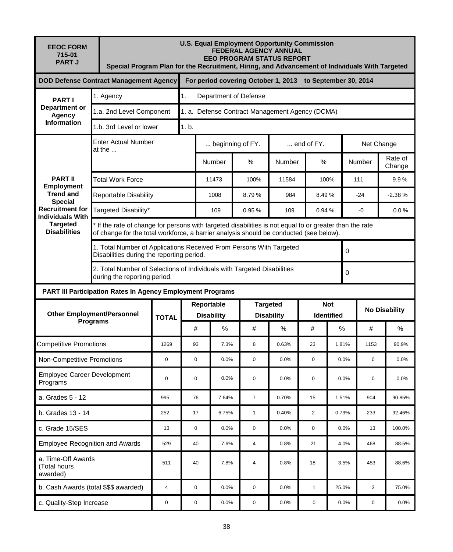| <b>EEOC FORM</b><br>715-01<br><b>PART J</b>                                                                                                                              | <b>U.S. Equal Employment Opportunity Commission</b><br><b>FEDERAL AGENCY ANNUAL</b><br><b>EEO PROGRAM STATUS REPORT</b><br>Special Program Plan for the Recruitment, Hiring, and Advancement of Individuals With Targeted |                                                                                                              |                  |                                                           |                                                                     |                                      |              |                                 |        |                      |              |  |  |  |
|--------------------------------------------------------------------------------------------------------------------------------------------------------------------------|---------------------------------------------------------------------------------------------------------------------------------------------------------------------------------------------------------------------------|--------------------------------------------------------------------------------------------------------------|------------------|-----------------------------------------------------------|---------------------------------------------------------------------|--------------------------------------|--------------|---------------------------------|--------|----------------------|--------------|--|--|--|
| <b>DOD Defense Contract Management Agency</b>                                                                                                                            |                                                                                                                                                                                                                           |                                                                                                              |                  | For period covering October 1, 2013 to September 30, 2014 |                                                                     |                                      |              |                                 |        |                      |              |  |  |  |
| <b>PARTI</b><br>Department or<br><b>Agency</b><br><b>Information</b>                                                                                                     | 1. Agency                                                                                                                                                                                                                 | 1.<br>Department of Defense                                                                                  |                  |                                                           |                                                                     |                                      |              |                                 |        |                      |              |  |  |  |
|                                                                                                                                                                          |                                                                                                                                                                                                                           | 1.a. 2nd Level Component                                                                                     |                  |                                                           | 1. a. Defense Contract Management Agency (DCMA)                     |                                      |              |                                 |        |                      |              |  |  |  |
|                                                                                                                                                                          | 1.b. 3rd Level or lower                                                                                                                                                                                                   | 1. b.                                                                                                        |                  |                                                           |                                                                     |                                      |              |                                 |        |                      |              |  |  |  |
|                                                                                                                                                                          | <b>Enter Actual Number</b><br>at the                                                                                                                                                                                      |                                                                                                              | beginning of FY. |                                                           |                                                                     | $\dots$ end of FY.                   |              | Net Change                      |        |                      |              |  |  |  |
| <b>PART II</b><br><b>Employment</b><br><b>Trend and</b><br><b>Special</b><br><b>Recruitment for</b><br><b>Individuals With</b><br><b>Targeted</b><br><b>Disabilities</b> |                                                                                                                                                                                                                           |                                                                                                              | Number           | %                                                         | Number                                                              | %                                    |              | Number                          |        | Rate of<br>Change    |              |  |  |  |
|                                                                                                                                                                          | <b>Total Work Force</b>                                                                                                                                                                                                   |                                                                                                              |                  |                                                           | 100%                                                                | 11584                                |              | 100%                            |        | 111                  | 9.9%         |  |  |  |
|                                                                                                                                                                          |                                                                                                                                                                                                                           | <b>Reportable Disability</b>                                                                                 |                  |                                                           | 8.79%                                                               | 984                                  |              | 8.49%                           |        | $-24$                | $-2.38%$     |  |  |  |
|                                                                                                                                                                          | Targeted Disability*                                                                                                                                                                                                      |                                                                                                              |                  |                                                           | 0.95%                                                               | 109                                  | 0.94 %       |                                 |        | -0                   | 0.0%         |  |  |  |
|                                                                                                                                                                          | If the rate of change for persons with targeted disabilities is not equal to or greater than the rate<br>of change for the total workforce, a barrier analysis should be conducted (see below).                           |                                                                                                              |                  |                                                           |                                                                     |                                      |              |                                 |        |                      |              |  |  |  |
|                                                                                                                                                                          |                                                                                                                                                                                                                           | Disabilities during the reporting period.                                                                    |                  |                                                           | 1. Total Number of Applications Received From Persons With Targeted |                                      |              |                                 |        |                      | $\mathbf{0}$ |  |  |  |
|                                                                                                                                                                          |                                                                                                                                                                                                                           | 2. Total Number of Selections of Individuals with Targeted Disabilities<br>0<br>during the reporting period. |                  |                                                           |                                                                     |                                      |              |                                 |        |                      |              |  |  |  |
| <b>PART III Participation Rates In Agency Employment Programs</b>                                                                                                        |                                                                                                                                                                                                                           |                                                                                                              |                  |                                                           |                                                                     |                                      |              |                                 |        |                      |              |  |  |  |
| <b>Other Employment/Personnel</b><br><b>Programs</b>                                                                                                                     |                                                                                                                                                                                                                           | <b>TOTAL</b>                                                                                                 |                  | Reportable<br><b>Disability</b>                           |                                                                     | <b>Targeted</b><br><b>Disability</b> |              | <b>Not</b><br><b>Identified</b> |        | <b>No Disability</b> |              |  |  |  |
|                                                                                                                                                                          |                                                                                                                                                                                                                           |                                                                                                              | #                | $\%$                                                      | #                                                                   | %                                    | #            |                                 | %<br># |                      | $\%$         |  |  |  |
| <b>Competitive Promotions</b>                                                                                                                                            | 1269                                                                                                                                                                                                                      | 93                                                                                                           | 7.3%             | 8                                                         | 0.63%                                                               | 23                                   | 1.81%        |                                 | 1153   | 90.9%                |              |  |  |  |
| Non-Competitive Promotions                                                                                                                                               |                                                                                                                                                                                                                           | 0                                                                                                            | $\mathbf 0$      | 0.0%                                                      | $\mathbf 0$                                                         | 0.0%                                 | 0            | 0.0%                            |        | $\mathbf 0$          | 0.0%         |  |  |  |
| <b>Employee Career Development</b><br>Programs                                                                                                                           |                                                                                                                                                                                                                           | $\mathbf 0$                                                                                                  | $\mathbf 0$      | 0.0%                                                      | $\mathsf 0$                                                         | 0.0%                                 | $\mathbf 0$  | 0.0%                            |        | $\mathbf 0$          | 0.0%         |  |  |  |
| a. Grades 5 - 12                                                                                                                                                         | 995                                                                                                                                                                                                                       | 76                                                                                                           | 7.64%            | $\overline{7}$                                            | 0.70%                                                               | 15                                   | 1.51%        |                                 | 904    | 90.85%               |              |  |  |  |
| b. Grades 13 - 14                                                                                                                                                        | 252                                                                                                                                                                                                                       | 17                                                                                                           | 6.75%            | $\mathbf{1}$                                              | 0.40%                                                               | $\overline{2}$                       | 0.79%        |                                 | 233    | 92.46%               |              |  |  |  |
| c. Grade 15/SES                                                                                                                                                          | 13                                                                                                                                                                                                                        | 0                                                                                                            | 0.0%             | 0                                                         | 0.0%                                                                | 0                                    | 0.0%         |                                 | 13     | 100.0%               |              |  |  |  |
| <b>Employee Recognition and Awards</b>                                                                                                                                   | 529                                                                                                                                                                                                                       | 40                                                                                                           | 7.6%             | $\overline{4}$                                            | 0.8%                                                                | 21                                   | 4.0%         |                                 | 468    | 88.5%                |              |  |  |  |
| a. Time-Off Awards<br>(Total hours<br>awarded)                                                                                                                           | 511                                                                                                                                                                                                                       | 40                                                                                                           | 7.8%             | $\overline{4}$                                            | 0.8%                                                                | 18                                   | 3.5%         |                                 | 453    | 88.6%                |              |  |  |  |
| b. Cash Awards (total \$\$\$ awarded)                                                                                                                                    |                                                                                                                                                                                                                           |                                                                                                              | $\mathbf 0$      | 0.0%                                                      | $\mathbf 0$                                                         | 0.0%                                 | $\mathbf{1}$ | 25.0%                           |        | 3                    | 75.0%        |  |  |  |
| c. Quality-Step Increase                                                                                                                                                 | 0                                                                                                                                                                                                                         | 0                                                                                                            | 0.0%             | 0                                                         | 0.0%                                                                | 0                                    |              | 0.0%                            | 0      | 0.0%                 |              |  |  |  |